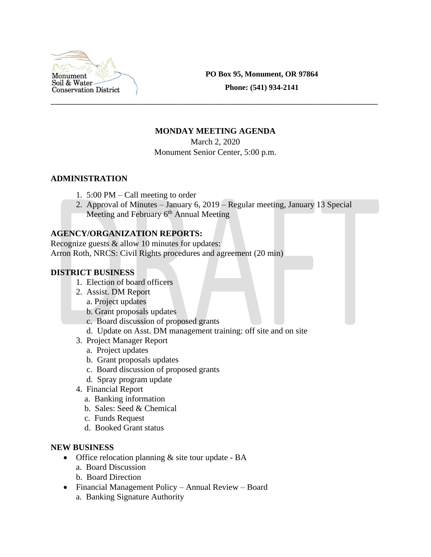

**PO Box 95, Monument, OR 97864**

**Phone: (541) 934-2141**

### **MONDAY MEETING AGENDA**

\_\_\_\_\_\_\_\_\_\_\_\_\_\_\_\_\_\_\_\_\_\_\_\_\_\_\_\_\_\_\_\_\_\_\_\_\_\_\_\_\_\_\_\_\_\_\_\_\_\_\_\_\_\_\_\_\_\_\_\_\_\_\_\_\_\_\_\_\_\_\_\_\_\_\_\_\_\_\_\_\_\_\_\_\_

March 2, 2020

Monument Senior Center, 5:00 p.m.

### **ADMINISTRATION**

- 1. 5:00 PM Call meeting to order
- 2. Approval of Minutes January 6, 2019 Regular meeting, January 13 Special Meeting and February  $6<sup>th</sup>$  Annual Meeting

## **AGENCY/ORGANIZATION REPORTS:**

Recognize guests & allow 10 minutes for updates: Arron Roth, NRCS: Civil Rights procedures and agreement (20 min)

## **DISTRICT BUSINESS**

- 1. Election of board officers
- 2. Assist. DM Report
	- a. Project updates
	- b. Grant proposals updates
	- c. Board discussion of proposed grants
	- d. Update on Asst. DM management training: off site and on site
- 3. Project Manager Report
	- a. Project updates
	- b. Grant proposals updates
	- c. Board discussion of proposed grants
	- d. Spray program update
- 4. Financial Report
	- a. Banking information
	- b. Sales: Seed & Chemical
	- c. Funds Request
	- d. Booked Grant status

### **NEW BUSINESS**

- Office relocation planning & site tour update BA
	- a. Board Discussion
	- b. Board Direction
- Financial Management Policy Annual Review Board
	- a. Banking Signature Authority